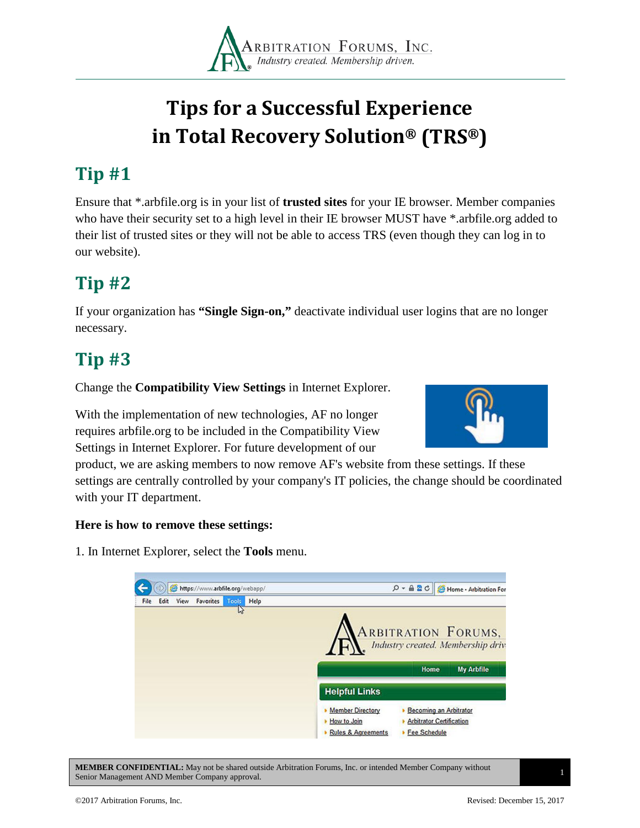

# **Tips for a Successful Experience in Total Recovery Solution® (TRS®)**

## **Tip #1**

Ensure that \*.arbfile.org is in your list of **trusted sites** for your IE browser. Member companies who have their security set to a high level in their IE browser MUST have \*.arbfile.org added to their list of trusted sites or they will not be able to access TRS (even though they can log in to our website).

### **Tip #2**

If your organization has **"Single Sign-on,"** deactivate individual user logins that are no longer necessary.

### **Tip #3**

Change the **Compatibility View Settings** in Internet Explorer.

With the implementation of new technologies, AF no longer requires arbfile.org to be included in the Compatibility View Settings in Internet Explorer. For future development of our



product, we are asking members to now remove AF's website from these settings. If these settings are centrally controlled by your company's IT policies, the change should be coordinated with your IT department.

#### **Here is how to remove these settings:**

1. In Internet Explorer, select the **Tools** menu.



**MEMBER CONFIDENTIAL:** May not be shared outside Arbitration Forums, Inc. or intended Member Company without Senior Management AND Member Company approval. <sup>1</sup>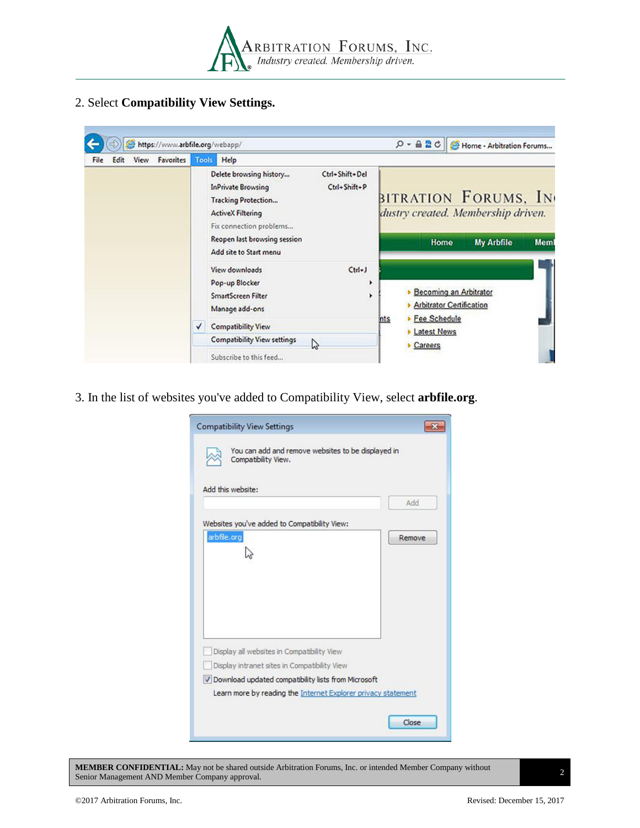

#### 2. Select **Compatibility View Settings.**

| File | Edit | View | https://www.arbfile.org/webapp/<br>Favorites | Tools | Help                                                                                                                                                                                                |                                | $Q - 2C$                        |                                                           | Home - Arbitration Forums                                                       |      |
|------|------|------|----------------------------------------------|-------|-----------------------------------------------------------------------------------------------------------------------------------------------------------------------------------------------------|--------------------------------|---------------------------------|-----------------------------------------------------------|---------------------------------------------------------------------------------|------|
|      |      |      |                                              |       | Delete browsing history<br><b>InPrivate Browsing</b><br><b>Tracking Protection</b><br><b>ActiveX Filtering</b><br>Fix connection problems<br>Reopen last browsing session<br>Add site to Start menu | Ctrl+Shift+Del<br>Ctrl+Shift+P | Home                            |                                                           | BITRATION FORUMS, IN<br>dustry created. Membership driven.<br><b>My Arbfile</b> | Meml |
|      |      |      |                                              |       | View downloads<br>Pop-up Blocker<br><b>SmartScreen Filter</b><br>Manage add-ons                                                                                                                     | $Ctd+J$<br>۰<br>۰              | ٠<br><b>Fee Schedule</b><br>nts | Becoming an Arbitrator<br><b>Arbitrator Certification</b> |                                                                                 |      |
|      |      |      |                                              | √     | <b>Compatibility View</b><br><b>Compatibility View settings</b>                                                                                                                                     |                                |                                 | <b>Latest News</b>                                        |                                                                                 |      |
|      |      |      |                                              |       |                                                                                                                                                                                                     |                                | Careers                         |                                                           |                                                                                 |      |
|      |      |      |                                              |       | B<br>Subscribe to this feed                                                                                                                                                                         |                                |                                 |                                                           |                                                                                 |      |

3. In the list of websites you've added to Compatibility View, select **arbfile.org**.

| Compatibility View.                                   | You can add and remove websites to be displayed in |
|-------------------------------------------------------|----------------------------------------------------|
| Add this website:                                     |                                                    |
|                                                       | Add                                                |
| Websites you've added to Compatibility View:          |                                                    |
| arbfile.org                                           | Remove                                             |
|                                                       |                                                    |
|                                                       |                                                    |
|                                                       |                                                    |
|                                                       |                                                    |
|                                                       |                                                    |
|                                                       |                                                    |
|                                                       |                                                    |
|                                                       |                                                    |
| Display all websites in Compatibility View            |                                                    |
| Display intranet sites in Compatibility View          |                                                    |
| V Download updated compatibility lists from Microsoft |                                                    |

**MEMBER CONFIDENTIAL:** May not be shared outside Arbitration Forums, Inc. or intended Member Company without **SENIDER CONFIDENTIAL:** May not be shared outside Arbitration Forums, mc. or intended member Company without 2<br>Senior Management AND Member Company approval.